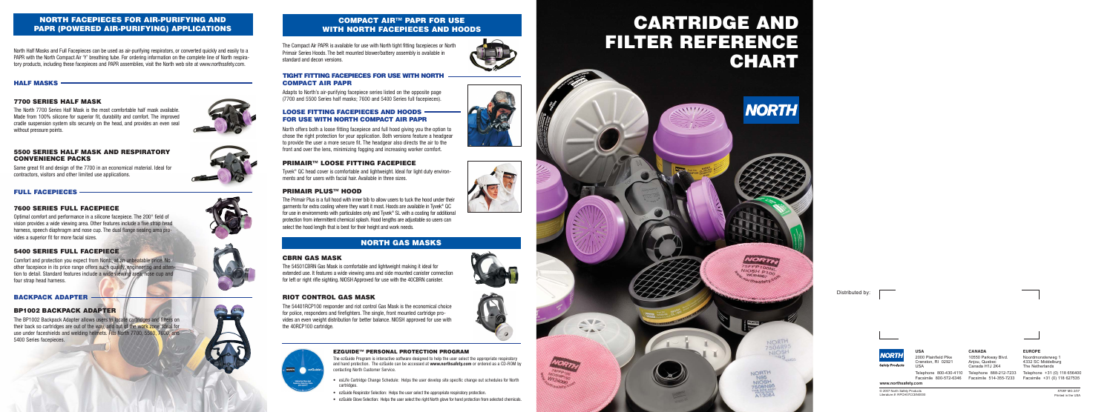# **CARTRIDGE AND FILTER REFERENCE CHART**

**NORTH** 

## **NORTH FACEPIECES FOR AIR-PURIFYING AND PAPR (POWERED AIR-PURIFYING) APPLICATIONS**

### **7700 SERIES HALF MASK**

The North 7700 Series Half Mask is the most comfortable half mask available. Made from 100% silicone for superior fit, durability and comfort. The improved cradle suspension system sits securely on the head, and provides an even seal without pressure points.



North Half Masks and Full Facepieces can be used as air-purifying respirators, or converted quickly and easily to a PAPR with the North Compact Air 'Y' breathing tube. For ordering information on the complete line of North respiratory products, including these facepieces and PAPR assemblies, visit the North web site at www.northsafety.com.

### **5500 SERIES HALF MASK AND RESPIRATORY CONVENIENCE PACKS**

Same great fit and design of the 7700 in an economical material. Ideal for contractors, visitors and other limited use applications.

### **7600 SERIES FULL FACEPIECE**

Optimal comfort and performance in a silicone facepiece. The 200° field of vision provides a wide viewing area. Other features include a five strap head harness, speech diaphragm and nose cup. The dual flange sealing area provides a superior fit for more facial sizes.

> © 2007 North Safety Products 8708F MG 2/07 Literature #: RPCH07CCEN000

### **5400 SERIES FULL FACEPIECE**

Comfort and protection you expect from North, at an unbeatable price. No other facepiece in its price range offers such quality, engineering and attention to detail. Standard features include a wide viewing area, nose cup and four strap head harness.

### **BP1002 BACKPACK ADAPTER**

The BP1002 Backpack Adapter allows users to locate cartridges and filters on their back so cartridges are out of the way, and out of the work zone. Ideal for use under faceshields and welding helmets. Fits North 7700, 5500, 7600, and 5400 Series facepieces.

### **EZGUIDE™ PERSONAL PROTECTION PROGRAM**

The ezGuide Program is interactive software designed to help the user select the appropriate respiratory and hand protection. The ezGuide can be accessed at **www.northsafety.com** or ordered as a CD-ROM by contacting North Customer Service.

- esLife Cartridge Change Schedule: Helps the user develop site specific change out schedules for North cartridges.
- ezGuide Respirator Selection: Helps the user select the appropriate respiratory protection.
- ezGuide Glove Selection: Helps the user select the right North glove for hand protection from selected chemicals.















Distributed by:



**www.northsafety.com**

**USA** 2000 Plainfield Pike Cranston, RI 02921

USA

### **CANADA**

10550 Parkway Blvd. Anjou, Quebec Canada H1J 2K4

Facsimile 800-572-6346 Facsimile 514-355-7233

Telephone 800-430-4110 Telephone 888-212-7233 Telephone +31 (0) 118 656400 Facsimile +31 (0) 118 627535

### **EUROPE**

Noordmonsterweg 1 4332 SC Middelburg The Netherlands

### **COMPACT AIR™ PAPR FOR USE WITH NORTH FACEPIECES AND HOODS**

The Compact Air PAPR is available for use with North tight fitting facepieces or North Primair Series Hoods. The belt mounted blower/battery assembly is available in standard and decon versions.

### **TIGHT FITTING FACEPIECES FOR USE WITH NORTH COMPACT AIR PAPR**

Adapts to North's air-purifying facepiece series listed on the opposite page (7700 and 5500 Series half masks; 7600 and 5400 Series full facepieces).

### **PRIMAIR™ LOOSE FITTING FACEPIECE**

Tyvek® QC head cover is comfortable and lightweight. Ideal for light duty environments and for users with facial hair. Available in three sizes.

### **LOOSE FITTING FACEPIECES AND HOODS FOR USE WITH NORTH COMPACT AIR PAPR**

### **PRIMAIR PLUS™ HOOD**

The Primair Plus is a full hood with inner bib to allow users to tuck the hood under their garments for extra cooling where they want it most. Hoods are available in Tyvek<sup>®</sup> QC for use in environments with particulates only and Tyvek® SL with a coating for additional protection from intermittent chemical splash. Hood lengths are adjustable so users can select the hood length that is best for their height and work needs.

### **CBRN GAS MASK**

The 54501CBRN Gas Mask is comfortable and lightweight making it ideal for extended use. It features a wide viewing area and side mounted canister connection for left or right rifle sighting. NIOSH Approved for use with the 40CBRN canister.

### **RIOT CONTROL GAS MASK**

The 54401RCP100 responder and riot control Gas Mask is the economical choice for police, responders and firefighters. The single, front mounted cartridge provides an even weight distribution for better balance. NIOSH approved for use with the 40RCP100 cartridge.



### **HALF MASKS**

### **FULL FACEPIECES**

### **BACKPACK ADAPTER**

North offers both a loose fitting facepiece and full hood giving you the option to chose the right protection for your application. Both versions feature a headgear to provide the user a more secure fit. The headgear also directs the air to the front and over the lens, minimizing fogging and increasing worker comfort.

## **NORTH GAS MASKS**